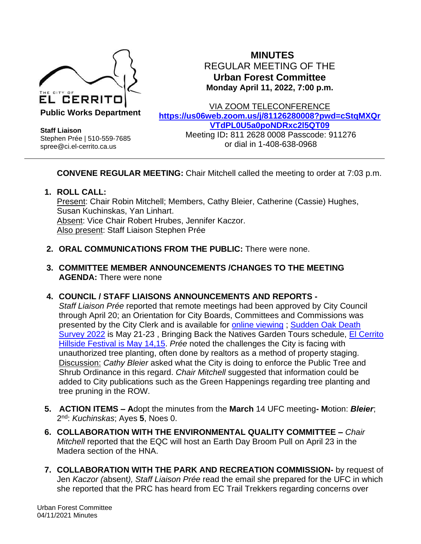

**MINUTES** REGULAR MEETING OF THE **Urban Forest Committee Monday April 11, 2022, 7:00 p.m.**

**Staff Liaison** Stephen Prée | 510-559-7685 spree@ci.el-cerrito.ca.us

VIA ZOOM TELECONFERENCE **[https://us06web.zoom.us/j/81126280008?pwd=cStqMXQr](https://us06web.zoom.us/j/81126280008?pwd=cStqMXQrVTdPL0U5a0poNDRxc2l5QT09) [VTdPL0U5a0poNDRxc2l5QT09](https://us06web.zoom.us/j/81126280008?pwd=cStqMXQrVTdPL0U5a0poNDRxc2l5QT09)** Meeting ID**:** 811 2628 0008 Passcode: 911276 or dial in 1-408-638-0968

**CONVENE REGULAR MEETING:** Chair Mitchell called the meeting to order at 7:03 p.m.

**1. ROLL CALL:**  Present: Chair Robin Mitchell; Members, Cathy Bleier, Catherine (Cassie) Hughes, Susan Kuchinskas, Yan Linhart. Absent: Vice Chair Robert Hrubes, Jennifer Kaczor. Also present: Staff Liaison Stephen Prée

- **2. ORAL COMMUNICATIONS FROM THE PUBLIC:** There were none.
- **3. COMMITTEE MEMBER ANNOUNCEMENTS /CHANGES TO THE MEETING AGENDA:** There were none
- **4. COUNCIL / STAFF LIAISONS ANNOUNCEMENTS AND REPORTS -**

*Staff Liaison Prée* reported that remote meetings had been approved by City Council through April 20; an Orientation for City Boards, Committees and Commissions was presented by the City Clerk and is available for [online viewing](https://www.el-cerrito.org/110/Membership-Tools) ; [Sudden Oak Death](https://nature.berkeley.edu/matteolab/?page_id=5906)  [Survey 2022](https://nature.berkeley.edu/matteolab/?page_id=5906) is May 21-23 , Bringing Back the Natives Garden Tours schedule, [El Cerrito](http://ectrailtrekkers.org/)  [Hillside Festival is May 14,15.](http://ectrailtrekkers.org/) *Prée* noted the challenges the City is facing with unauthorized tree planting, often done by realtors as a method of property staging. Discussion: *Cathy Bleier* asked what the City is doing to enforce the Public Tree and Shrub Ordinance in this regard. *Chair Mitchell* suggested that information could be added to City publications such as the Green Happenings regarding tree planting and tree pruning in the ROW.

- **5. ACTION ITEMS – A**dopt the minutes from the **March** 14 UFC meeting**- M**otion: *Bleier*; 2 nd: *Kuchinskas*; Ayes **5**, Noes 0.
- **6. COLLABORATION WITH THE ENVIRONMENTAL QUALITY COMMITTEE –** *Chair Mitchell* reported that the EQC will host an Earth Day Broom Pull on April 23 in the Madera section of the HNA.
- **7. COLLABORATION WITH THE PARK AND RECREATION COMMISSION-** by request of Jen *Kaczor (*absent*), Staff Liaison Prée* read the email she prepared for the UFC in which she reported that the PRC has heard from EC Trail Trekkers regarding concerns over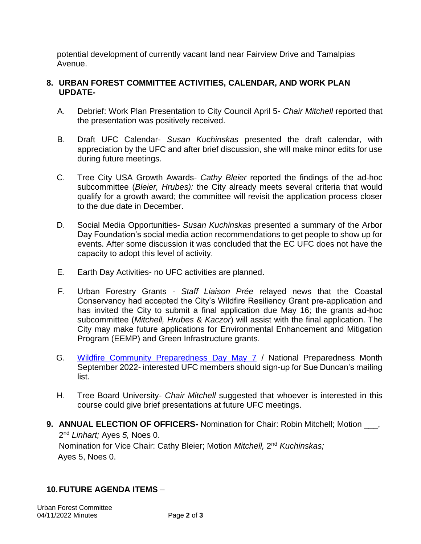potential development of currently vacant land near Fairview Drive and Tamalpias Avenue.

## **8. URBAN FOREST COMMITTEE ACTIVITIES, CALENDAR, AND WORK PLAN UPDATE-**

- A. Debrief: Work Plan Presentation to City Council April 5- *Chair Mitchell* reported that the presentation was positively received.
- B. Draft UFC Calendar- *Susan Kuchinskas* presented the draft calendar, with appreciation by the UFC and after brief discussion, she will make minor edits for use during future meetings.
- C. Tree City USA Growth Awards- *Cathy Bleier* reported the findings of the ad-hoc subcommittee (*Bleier, Hrubes):* the City already meets several criteria that would qualify for a growth award; the committee will revisit the application process closer to the due date in December.
- D. Social Media Opportunities- *Susan Kuchinskas* presented a summary of the Arbor Day Foundation's social media action recommendations to get people to show up for events. After some discussion it was concluded that the EC UFC does not have the capacity to adopt this level of activity.
- E. Earth Day Activities- no UFC activities are planned.
- F. Urban Forestry Grants *Staff Liaison Prée* relayed news that the Coastal Conservancy had accepted the City's Wildfire Resiliency Grant pre-application and has invited the City to submit a final application due May 16; the grants ad-hoc subcommittee (*Mitchell, Hrubes* & *Kaczor*) will assist with the final application. The City may make future applications for Environmental Enhancement and Mitigation Program (EEMP) and Green Infrastructure grants.
- G. [Wildfire Community Preparedness Day May 7](https://www.nfpa.org/Events/Events/National-Wildfire-Community-Preparedness-Day) / National Preparedness Month September 2022- interested UFC members should sign-up for Sue Duncan's mailing list.
- H. Tree Board University- *Chair Mitchell* suggested that whoever is interested in this course could give brief presentations at future UFC meetings.
- **9. ANNUAL ELECTION OF OFFICERS-** Nomination for Chair: Robin Mitchell; Motion \_\_\_, 2 nd *Linhart;* Ayes *5,* Noes 0. Nomination for Vice Chair: Cathy Bleier; Motion Mitchell, 2<sup>nd</sup> Kuchinskas; Ayes 5, Noes 0.

## **10.FUTURE AGENDA ITEMS** –